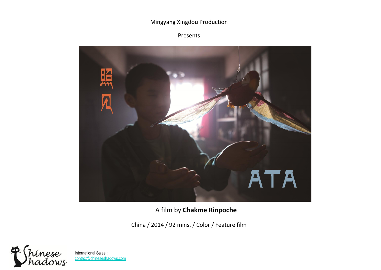### Mingyang Xingdou Production

## Presents



A film by **Chakme Rinpoche**

China / 2014 / 92 mins. / Color / Feature film

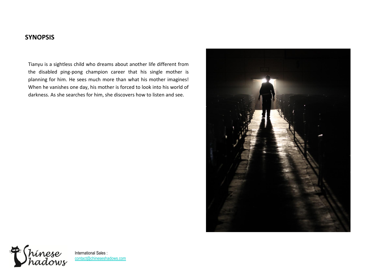## **SYNOPSIS**

Tianyu is a sightless child who dreams about another life different from the disabled ping-pong champion career that his single mother is planning for him. He sees much more than what his mother imagines! When he vanishes one day, his mother is forced to look into his world of darkness. As she searches for him, she discovers how to listen and see.



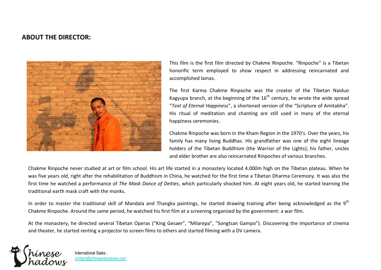## **ABOUT THE DIRECTOR:**



This film is the first film directed by Chakme Rinpoche. "Rinpoche" is a Tibetan honorific term employed to show respect in addressing reincarnated and accomplished lamas.

The first Karma Chakme Rinpoche was the creator of the Tibetan Naiduo Kagyupa branch, at the beginning of the  $16<sup>th</sup>$  century, he wrote the wide spread "*Text of Eternal Happiness*", a shortened version of the "Scripture of Amitabha". His ritual of meditation and chanting are still used in many of the eternal happiness ceremonies.

Chakme Rinpoche was born in the Kham Region in the 1970's. Over the years, his family has many living Buddhas. His grandfather was one of the eight lineage holders of the Tibetan Buddhism (the Warrior of the Lights); his father, uncles and elder brother are also reincarnated Rinpoches of various branches.

Chakme Rinpoche never studied at art or film school. His art life started in a monastery located 4.000m high on the Tibetan plateau. When he was five years old, right after the rehabilitation of Buddhism in China, he watched for the first time a Tibetan Dharma Ceremony. It was also the first time he watched a performance of *The Mask Dance of Deities*, which particularly shocked him. At eight years old, he started learning the traditional earth mask craft with the monks.

In order to master the traditional skill of Mandala and Thangka paintings, he started drawing training after being acknowledged as the 9<sup>th</sup> Chakme Rinpoche. Around the same period, he watched his first film at a screening organized by the government: a war film.

At the monastery, he directed several Tibetan Operas ("King Gesaer", "Milarepa", "Songtsan Gampo"). Discovering the importance of cinema and theater, he started renting a projector to screen films to others and started filming with a DV camera.

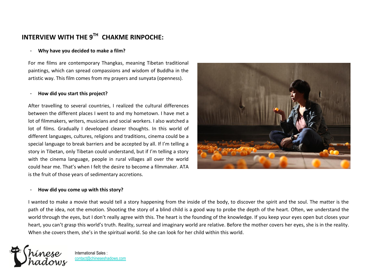# **INTERVIEW WITH THE 9TH CHAKME RINPOCHE:**

#### - **Why have you decided to make a film?**

For me films are contemporary Thangkas, meaning Tibetan traditional paintings, which can spread compassions and wisdom of Buddha in the artistic way. This film comes from my prayers and sunyata (openness).

#### - **How did you start this project?**

After travelling to several countries, I realized the cultural differences between the different places I went to and my hometown. I have met a lot of filmmakers, writers, musicians and social workers. I also watched a lot of films. Gradually I developed clearer thoughts. In this world of different languages, cultures, religions and traditions, cinema could be a special language to break barriers and be accepted by all. If I'm telling a story in Tibetan, only Tibetan could understand, but if I'm telling a story with the cinema language, people in rural villages all over the world could hear me. That's when I felt the desire to become a filmmaker. ATA is the fruit of those years of sedimentary accretions.

## - **How did you come up with this story?**

I wanted to make a movie that would tell a story happening from the inside of the body, to discover the spirit and the soul. The matter is the path of the idea, not the emotion. Shooting the story of a blind child is a good way to probe the depth of the heart. Often, we understand the world through the eyes, but I don't really agree with this. The heart is the founding of the knowledge. If you keep your eyes open but closes your heart, you can't grasp this world's truth. Reality, surreal and imaginary world are relative. Before the mother covers her eyes, she is in the reality. When she covers them, she's in the spiritual world. So she can look for her child within this world.



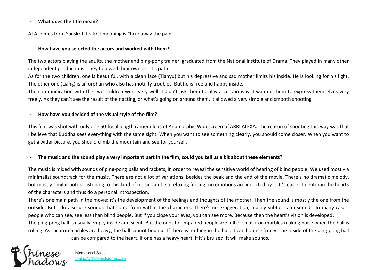#### - **What does the title mean?**

ATA comes from Sanskrit. Its first meaning is "take away the pain".

#### - **How have you selected the actors and worked with them?**

The two actors playing the adults, the mother and ping-pong trainer, graduated from the National Institute of Drama. They played in many other independent productions. They followed their own artistic path.

As for the two children, one is beautiful, with a clean face (Tianyu) but his depressive and sad mother limits his inside. He is looking for his light. The other one (Liang) is an orphan who also has motility troubles. But he is free and happy inside.

The communication with the two children went very well. I didn't ask them to play a certain way. I wanted them to express themselves very freely. As they can't see the result of their acting, or what's going on around them, it allowed a very simple and smooth shooting.

#### - **How have you decided of the visual style of the film?**

This film was shot with only one 50-focal length camera lens of Anamorphic Widescreen of ARRI ALEXA. The reason of shooting this way was that I believe that Buddha sees everything with the same sight. When you want to see something clearly, you should come closer. When you want to get a wider picture, you should climb the mountain and see for yourself.

#### - **The music and the sound play a very important part in the film, could you tell us a bit about these elements?**

The music is mixed with sounds of ping-pong balls and rackets, in order to reveal the sensitive world of hearing of blind people. We used mostly a minimalist soundtrack for the music. There are not a lot of variations, besides the peak and the end of the movie. There's no dramatic melody, but mostly similar notes. Listening to this kind of music can be a relaxing feeling; no emotions are inducted by it. It's easier to enter in the hearts of the characters and thus do a personal introspection.

There's one main path in the movie; it's the development of the feelings and thoughts of the mother. Then the sound is mostly the one from the outside. But I do also use sounds that come from within the characters. There's no exaggeration, mainly subtle, calm sounds. In many cases, people who can see, see less than blind people. But if you close your eyes, you can see more. Because then the heart's vision is developed. The ping-pong ball is usually empty inside and silent. But the ones for impaired people are full of small iron marbles making noise when the ball is rolling. As the iron marbles are heavy, the ball cannot bounce. If there is nothing in the ball, it can bounce freely. The inside of the ping-pong ball can be compared to the heart. If one has a heavy heart, if it's bruised, it will make sounds.

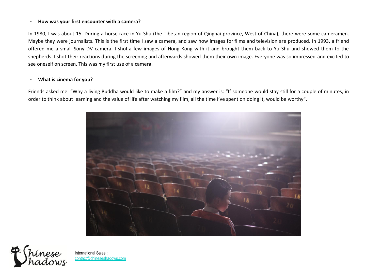#### - **How was your first encounter with a camera?**

In 1980, I was about 15. During a horse race in Yu Shu (the Tibetan region of Qinghai province, West of China), there were some cameramen. Maybe they were journalists. This is the first time I saw a camera, and saw how images for films and television are produced. In 1993, a friend offered me a small Sony DV camera. I shot a few images of Hong Kong with it and brought them back to Yu Shu and showed them to the shepherds. I shot their reactions during the screening and afterwards showed them their own image. Everyone was so impressed and excited to see oneself on screen. This was my first use of a camera.

#### - **What is cinema for you?**

Friends asked me: "Why a living Buddha would like to make a film?" and my answer is: "If someone would stay still for a couple of minutes, in order to think about learning and the value of life after watching my film, all the time I've spent on doing it, would be worthy".



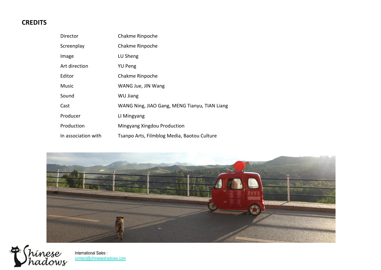## **CREDITS**

| Director            | Chakme Rinpoche                               |
|---------------------|-----------------------------------------------|
| Screenplay          | Chakme Rinpoche                               |
| Image               | LU Sheng                                      |
| Art direction       | <b>YU Peng</b>                                |
| Editor              | Chakme Rinpoche                               |
| Music               | WANG Jue, JIN Wang                            |
| Sound               | <b>WU Jiang</b>                               |
| Cast                | WANG Ning, JIAO Gang, MENG Tianyu, TIAN Liang |
| Producer            | LI Mingyang                                   |
| Production          | Mingyang Xingdou Production                   |
| In association with | Tsanpo Arts, Filmblog Media, Baotou Culture   |